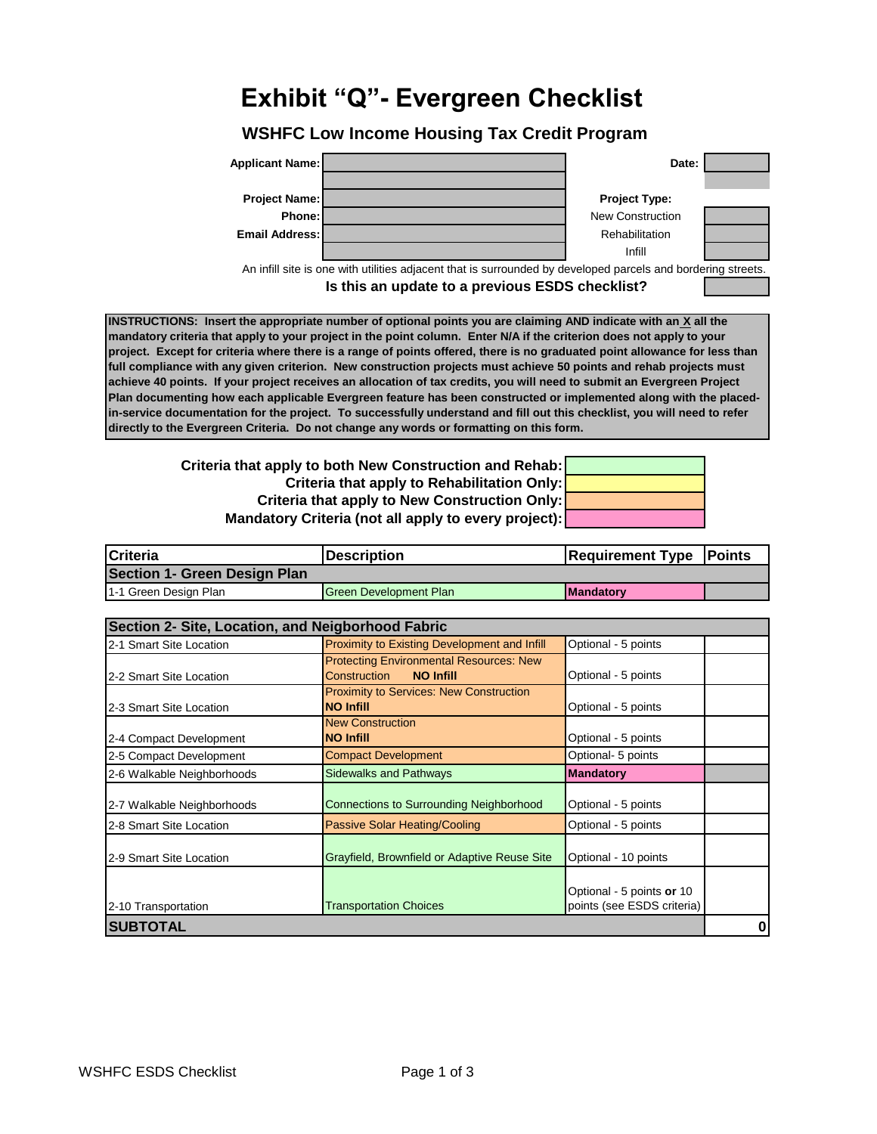## **Exhibit "Q"- Evergreen Checklist**

## **WSHFC Low Income Housing Tax Credit Program**



**Is this an update to a previous ESDS checklist?**

**INSTRUCTIONS: Insert the appropriate number of optional points you are claiming AND indicate with an X all the mandatory criteria that apply to your project in the point column. Enter N/A if the criterion does not apply to your project. Except for criteria where there is a range of points offered, there is no graduated point allowance for less than full compliance with any given criterion. New construction projects must achieve 50 points and rehab projects must achieve 40 points. If your project receives an allocation of tax credits, you will need to submit an Evergreen Project Plan documenting how each applicable Evergreen feature has been constructed or implemented along with the placedin-service documentation for the project. To successfully understand and fill out this checklist, you will need to refer directly to the Evergreen Criteria. Do not change any words or formatting on this form.**

> **Mandatory Criteria (not all apply to every project): Criteria that apply to New Construction Onl Criteria that apply to Rehabilitation Onl Criteria that apply to both New Construction and Rehab:**

| ab:                |  |
|--------------------|--|
|                    |  |
| ly:<br>ly:<br>:t): |  |
|                    |  |

| Criteria                            | <b>Description</b>            | <b>Requirement Type Points</b> |  |
|-------------------------------------|-------------------------------|--------------------------------|--|
| <b>Section 1- Green Design Plan</b> |                               |                                |  |
| 1-1 Green Design Plan               | <b>Green Development Plan</b> | <b>IMandatory</b>              |  |

| Section 2- Site, Location, and Neigborhood Fabric |                                                |                            |   |
|---------------------------------------------------|------------------------------------------------|----------------------------|---|
| 2-1 Smart Site Location                           | Proximity to Existing Development and Infill   | Optional - 5 points        |   |
|                                                   | <b>Protecting Environmental Resources: New</b> |                            |   |
| 2-2 Smart Site Location                           | <b>NO Infill</b><br>Construction               | Optional - 5 points        |   |
|                                                   | <b>Proximity to Services: New Construction</b> |                            |   |
| 2-3 Smart Site Location                           | <b>NO Infill</b>                               | Optional - 5 points        |   |
|                                                   | <b>New Construction</b>                        |                            |   |
| 2-4 Compact Development                           | <b>NO Infill</b>                               | Optional - 5 points        |   |
| 2-5 Compact Development                           | <b>Compact Development</b>                     | Optional- 5 points         |   |
| 2-6 Walkable Neighborhoods                        | <b>Sidewalks and Pathways</b>                  | <b>Mandatory</b>           |   |
|                                                   |                                                |                            |   |
| 2-7 Walkable Neighborhoods                        | <b>Connections to Surrounding Neighborhood</b> | Optional - 5 points        |   |
| 2-8 Smart Site Location                           | Passive Solar Heating/Cooling                  | Optional - 5 points        |   |
| 2-9 Smart Site Location                           | Grayfield, Brownfield or Adaptive Reuse Site   | Optional - 10 points       |   |
|                                                   |                                                |                            |   |
|                                                   |                                                | Optional - 5 points or 10  |   |
| 2-10 Transportation                               | <b>Transportation Choices</b>                  | points (see ESDS criteria) |   |
| ISUBTOTAL                                         |                                                |                            | 0 |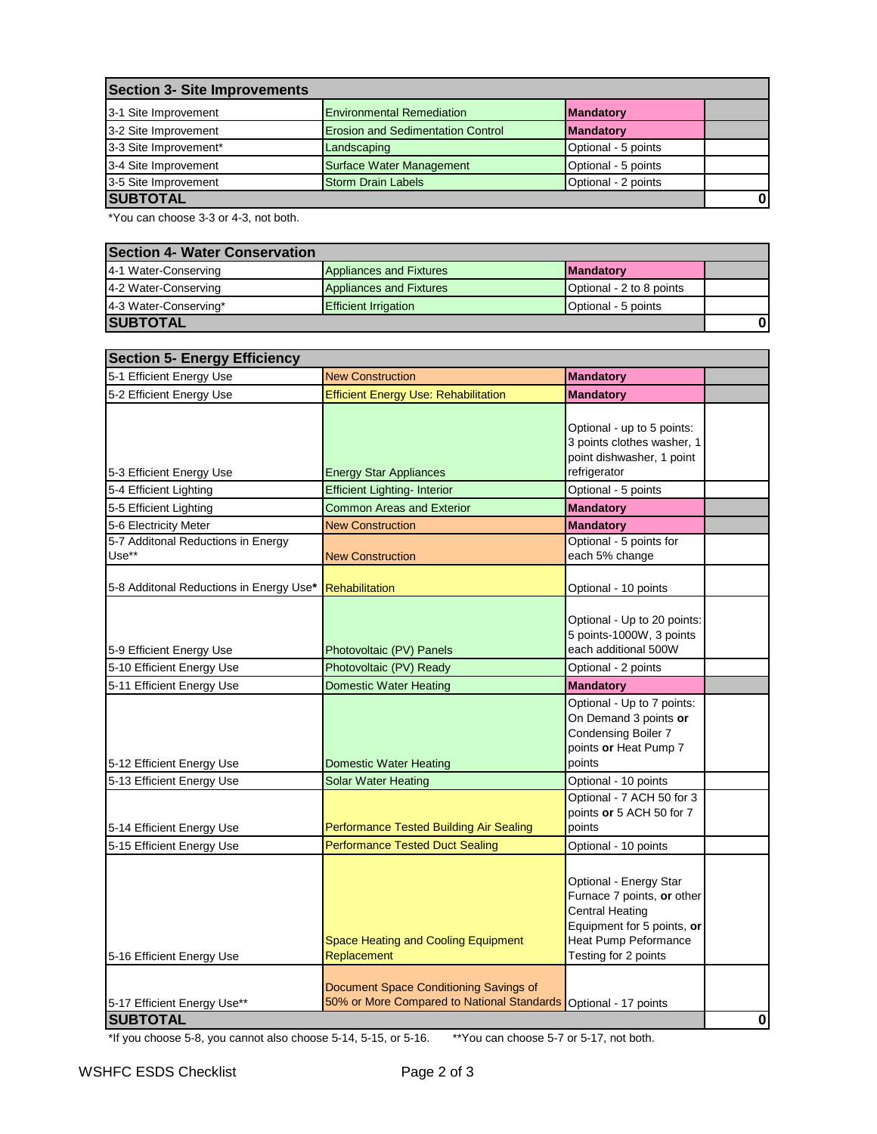| Section 3- Site Improvements |                                          |                     |              |
|------------------------------|------------------------------------------|---------------------|--------------|
| 3-1 Site Improvement         | <b>Environmental Remediation</b>         | <b>Mandatory</b>    |              |
| 3-2 Site Improvement         | <b>Erosion and Sedimentation Control</b> | <b>Mandatory</b>    |              |
| 3-3 Site Improvement*        | Landscaping                              | Optional - 5 points |              |
| 3-4 Site Improvement         | <b>Surface Water Management</b>          | Optional - 5 points |              |
| 3-5 Site Improvement         | <b>Storm Drain Labels</b>                | Optional - 2 points |              |
| <b>SUBTOTAL</b>              |                                          |                     | $\mathbf{0}$ |

\*You can choose 3-3 or 4-3, not both.

| <b>Section 4- Water Conservation</b> |                                |                          |  |
|--------------------------------------|--------------------------------|--------------------------|--|
| 4-1 Water-Conserving                 | Appliances and Fixtures        | <b>IMandatory</b>        |  |
| 4-2 Water-Conserving                 | <b>Appliances and Fixtures</b> | Optional - 2 to 8 points |  |
| 4-3 Water-Conserving*                | <b>Efficient Irrigation</b>    | Optional - 5 points      |  |
| <b>SUBTOTAL</b>                      |                                |                          |  |

| <b>Section 5- Energy Efficiency</b>         |                                                                                      |                                                                                                                                                       |          |  |
|---------------------------------------------|--------------------------------------------------------------------------------------|-------------------------------------------------------------------------------------------------------------------------------------------------------|----------|--|
| 5-1 Efficient Energy Use                    | <b>New Construction</b>                                                              | <b>Mandatory</b>                                                                                                                                      |          |  |
| 5-2 Efficient Energy Use                    | <b>Efficient Energy Use: Rehabilitation</b>                                          | <b>Mandatory</b>                                                                                                                                      |          |  |
| 5-3 Efficient Energy Use                    | <b>Energy Star Appliances</b>                                                        | Optional - up to 5 points:<br>3 points clothes washer, 1<br>point dishwasher, 1 point<br>refrigerator                                                 |          |  |
| 5-4 Efficient Lighting                      | <b>Efficient Lighting- Interior</b>                                                  | Optional - 5 points                                                                                                                                   |          |  |
| 5-5 Efficient Lighting                      | <b>Common Areas and Exterior</b>                                                     | <b>Mandatory</b>                                                                                                                                      |          |  |
| 5-6 Electricity Meter                       | <b>New Construction</b>                                                              | <b>Mandatory</b>                                                                                                                                      |          |  |
| 5-7 Additonal Reductions in Energy<br>Use** | <b>New Construction</b>                                                              | Optional - 5 points for<br>each 5% change                                                                                                             |          |  |
| 5-8 Additonal Reductions in Energy Use*     | <b>Rehabilitation</b>                                                                | Optional - 10 points                                                                                                                                  |          |  |
| 5-9 Efficient Energy Use                    | Photovoltaic (PV) Panels                                                             | Optional - Up to 20 points:<br>5 points-1000W, 3 points<br>each additional 500W                                                                       |          |  |
| 5-10 Efficient Energy Use                   | Photovoltaic (PV) Ready                                                              | Optional - 2 points                                                                                                                                   |          |  |
| 5-11 Efficient Energy Use                   | <b>Domestic Water Heating</b>                                                        | <b>Mandatory</b>                                                                                                                                      |          |  |
| 5-12 Efficient Energy Use                   | <b>Domestic Water Heating</b>                                                        | Optional - Up to 7 points:<br>On Demand 3 points or<br>Condensing Boiler 7<br>points or Heat Pump 7<br>points                                         |          |  |
| 5-13 Efficient Energy Use                   | <b>Solar Water Heating</b>                                                           | Optional - 10 points                                                                                                                                  |          |  |
| 5-14 Efficient Energy Use                   | Performance Tested Building Air Sealing                                              | Optional - 7 ACH 50 for 3<br>points or 5 ACH 50 for 7<br>points                                                                                       |          |  |
| 5-15 Efficient Energy Use                   | <b>Performance Tested Duct Sealing</b>                                               | Optional - 10 points                                                                                                                                  |          |  |
| 5-16 Efficient Energy Use                   | Space Heating and Cooling Equipment<br>Replacement                                   | Optional - Energy Star<br>Furnace 7 points, or other<br>Central Heating<br>Equipment for 5 points, or<br>Heat Pump Peformance<br>Testing for 2 points |          |  |
| 5-17 Efficient Energy Use**                 | Document Space Conditioning Savings of<br>50% or More Compared to National Standards | Optional - 17 points                                                                                                                                  |          |  |
| <b>SUBTOTAL</b>                             |                                                                                      |                                                                                                                                                       | $\bf{0}$ |  |

\*If you choose 5-8, you cannot also choose 5-14, 5-15, or 5-16. \*\*You can choose 5-7 or 5-17, not both.